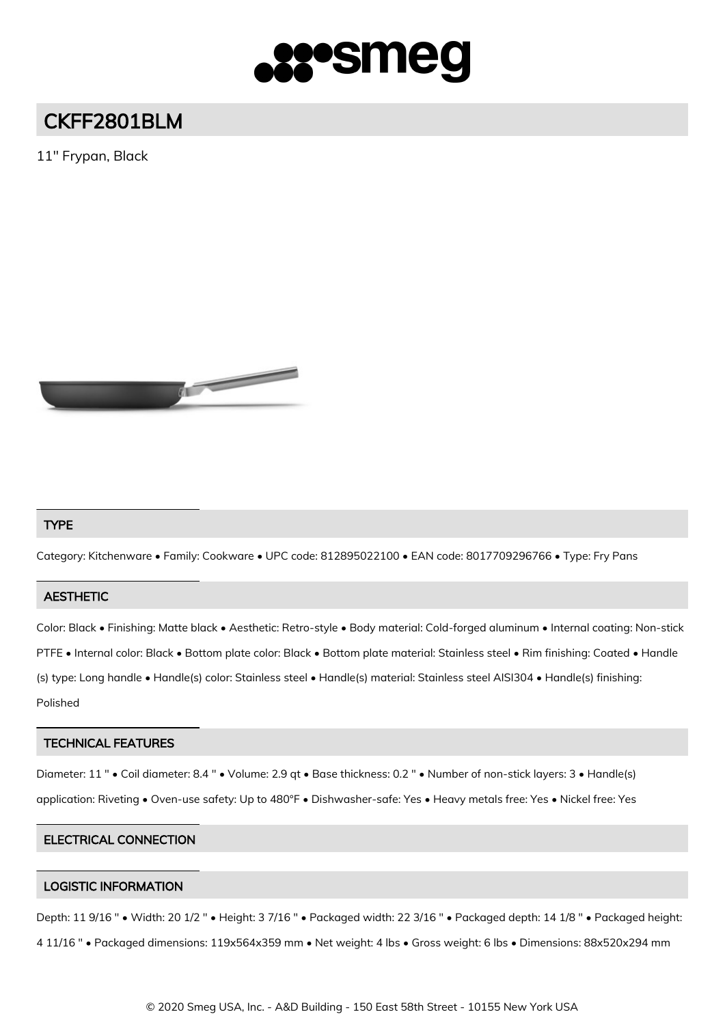

# CKFF2801BLM

11" Frypan, Black



### TYPE

Category: Kitchenware • Family: Cookware • UPC code: 812895022100 • EAN code: 8017709296766 • Type: Fry Pans

#### **AESTHETIC**

Color: Black • Finishing: Matte black • Aesthetic: Retro-style • Body material: Cold-forged aluminum • Internal coating: Non-stick PTFE • Internal color: Black • Bottom plate color: Black • Bottom plate material: Stainless steel • Rim finishing: Coated • Handle (s) type: Long handle • Handle(s) color: Stainless steel • Handle(s) material: Stainless steel AISI304 • Handle(s) finishing: Polished

#### TECHNICAL FEATURES

Diameter: 11 " • Coil diameter: 8.4 " • Volume: 2.9 qt • Base thickness: 0.2 " • Number of non-stick layers: 3 • Handle(s) application: Riveting • Oven-use safety: Up to 480°F • Dishwasher-safe: Yes • Heavy metals free: Yes • Nickel free: Yes

#### ELECTRICAL CONNECTION

#### LOGISTIC INFORMATION

Depth: 11 9/16 " • Width: 20 1/2 " • Height: 3 7/16 " • Packaged width: 22 3/16 " • Packaged depth: 14 1/8 " • Packaged height: 4 11/16 " • Packaged dimensions: 119x564x359 mm • Net weight: 4 lbs • Gross weight: 6 lbs • Dimensions: 88x520x294 mm